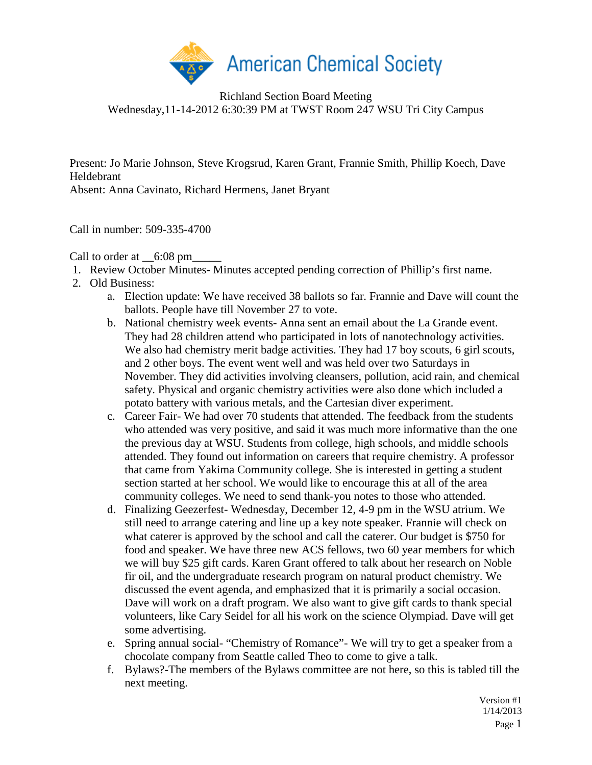

Richland Section Board Meeting Wednesday,11-14-2012 6:30:39 PM at TWST Room 247 WSU Tri City Campus

Present: Jo Marie Johnson, Steve Krogsrud, Karen Grant, Frannie Smith, Phillip Koech, Dave Heldebrant

Absent: Anna Cavinato, Richard Hermens, Janet Bryant

Call in number: 509-335-4700

Call to order at  $\qquad 6:08 \text{ pm}$ 

- 1. Review October Minutes- Minutes accepted pending correction of Phillip's first name.
- 2. Old Business:
	- a. Election update: We have received 38 ballots so far. Frannie and Dave will count the ballots. People have till November 27 to vote.
	- b. National chemistry week events- Anna sent an email about the La Grande event. They had 28 children attend who participated in lots of nanotechnology activities. We also had chemistry merit badge activities. They had 17 boy scouts, 6 girl scouts, and 2 other boys. The event went well and was held over two Saturdays in November. They did activities involving cleansers, pollution, acid rain, and chemical safety. Physical and organic chemistry activities were also done which included a potato battery with various metals, and the Cartesian diver experiment.
	- c. Career Fair- We had over 70 students that attended. The feedback from the students who attended was very positive, and said it was much more informative than the one the previous day at WSU. Students from college, high schools, and middle schools attended. They found out information on careers that require chemistry. A professor that came from Yakima Community college. She is interested in getting a student section started at her school. We would like to encourage this at all of the area community colleges. We need to send thank-you notes to those who attended.
	- d. Finalizing Geezerfest- Wednesday, December 12, 4-9 pm in the WSU atrium. We still need to arrange catering and line up a key note speaker. Frannie will check on what caterer is approved by the school and call the caterer. Our budget is \$750 for food and speaker. We have three new ACS fellows, two 60 year members for which we will buy \$25 gift cards. Karen Grant offered to talk about her research on Noble fir oil, and the undergraduate research program on natural product chemistry. We discussed the event agenda, and emphasized that it is primarily a social occasion. Dave will work on a draft program. We also want to give gift cards to thank special volunteers, like Cary Seidel for all his work on the science Olympiad. Dave will get some advertising.
	- e. Spring annual social- "Chemistry of Romance"- We will try to get a speaker from a chocolate company from Seattle called Theo to come to give a talk.
	- f. Bylaws?-The members of the Bylaws committee are not here, so this is tabled till the next meeting.